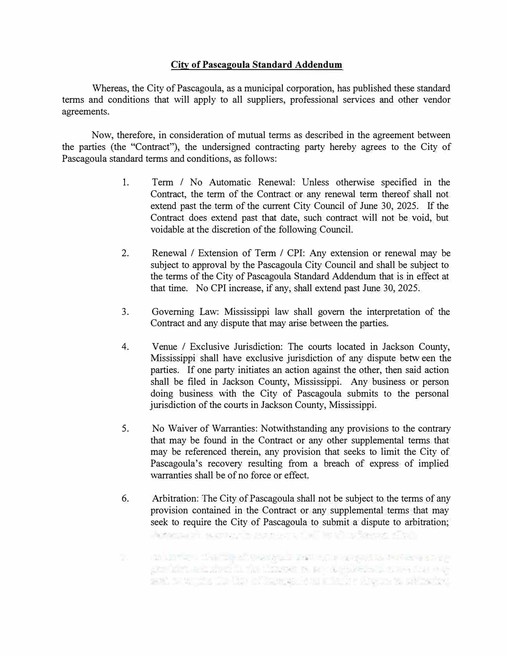## **City of Pascagoula Standard Addendum**

Whereas, the City of Pascagoula, as a municipal corporation, has published these standard terms and conditions that will apply to all suppliers, professional services and other vendor agreements.

Now, therefore, in consideration of mutual terms as described in the agreement between the parties (the "Contract"), the undersigned contracting party hereby agrees to the City of Pascagoula standard terms and conditions, as follows:

- 1. Term / No Automatic Renewal: Unless otherwise specified in the Contract, the term of the Contract or any renewal term thereof shall not extend past the term of the current City Council of June 30, 2025. If the Contract does extend past that date, such contract will not be void, but voidable at the discretion of the following Council.
- 2. Renewal / Extension of Term / CPI: Any extension or renewal may be subject to approval by the Pascagoula City Council and shall be subject to the terms of the City of Pascagoula Standard Addendum that is in effect at that time. No CPI increase, if any, shall extend past June 30, 2025.
- 3. Governing Law: Mississippi law shall govern the interpretation of the Contract and any dispute that may arise between the parties.
- 4. Venue / Exclusive Jurisdiction: The courts located in Jackson County, Mississippi shall have exclusive jurisdiction of any dispute betw een the parties. If one party initiates an action against the other, then said action shall be filed in Jackson County, Mississippi. Any business or person doing business with the City of Pascagoula submits to the personal jurisdiction of the courts in Jackson County, Mississippi.
- 5. No Waiver of Warranties: Notwithstanding any provisions to the contrary that may be found in the Contract or any other supplemental terms that may be referenced therein, any provision that seeks to limit the City of Pascagoula's recovery resulting from a breach of express of implied warranties shall be of no force or effect.
- 6. Arbitration: The City of Pascagoula shall not be subject to the terms of any provision contained in the Contract or any supplemental terms that may seek to require the City of Pascagoula to submit a dispute to arbitration;

American except is non-virusing

20 APP - THE THE PUBLIC INTERNATIONAL PROPERTY TO A CONTRACT TO THE RESEARCH gradults and shed in the Hispanic of the conservation state over and writing the time Charges of an interfer shows as without of